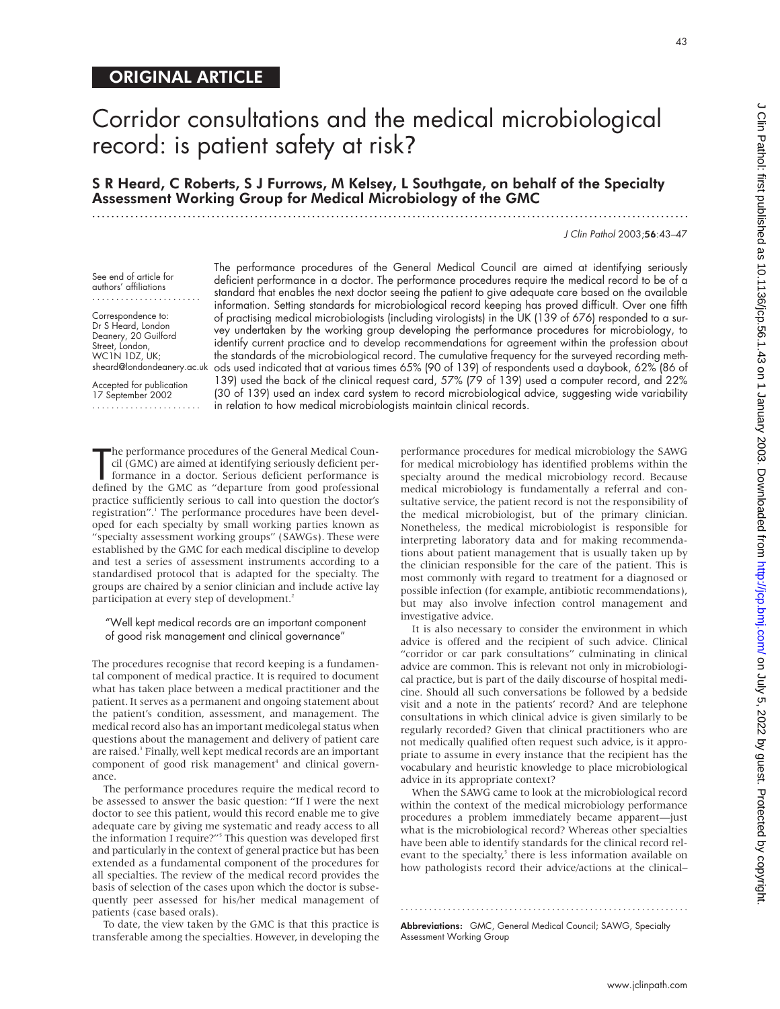### ORIGINAL ARTICLE

## Corridor consultations and the medical microbiological record: is patient safety at risk?

S R Heard, C Roberts, S J Furrows, M Kelsey, L Southgate, on behalf of the Specialty Assessment Working Group for Medical Microbiology of the GMC

.............................................................................................................................

J Clin Pathol 2003;56:43–47

See end of article for authors' affiliations .......................

Correspondence to: Dr S Heard, London Deanery, 20 Guilford Street, London, WC1N 1DZ, UK; sheard@londondeanery.ac.uk

Accepted for publication 17 September 2002 .......................

The performance procedures of the General Medical Council are aimed at identifying seriously deficient performance in a doctor. The performance procedures require the medical record to be of a standard that enables the next doctor seeing the patient to give adequate care based on the available information. Setting standards for microbiological record keeping has proved difficult. Over one fifth of practising medical microbiologists (including virologists) in the UK (139 of 676) responded to a survey undertaken by the working group developing the performance procedures for microbiology, to identify current practice and to develop recommendations for agreement within the profession about the standards of the microbiological record. The cumulative frequency for the surveyed recording methods used indicated that at various times 65% (90 of 139) of respondents used a daybook, 62% (86 of 139) used the back of the clinical request card, 57% (79 of 139) used a computer record, and 22% (30 of 139) used an index card system to record microbiological advice, suggesting wide variability in relation to how medical microbiologists maintain clinical records.

The performance procedures of the General Medical Council (GMC) are aimed at identifying seriously deficient performance in a doctor. Serious deficient performance is defined by the GMC as "departure from good professional he performance procedures of the General Medical Council (GMC) are aimed at identifying seriously deficient performance in a doctor. Serious deficient performance is practice sufficiently serious to call into question the doctor's registration".<sup>1</sup> The performance procedures have been developed for each specialty by small working parties known as "specialty assessment working groups" (SAWGs). These were established by the GMC for each medical discipline to develop and test a series of assessment instruments according to a standardised protocol that is adapted for the specialty. The groups are chaired by a senior clinician and include active lay participation at every step of development.<sup>2</sup>

#### "Well kept medical records are an important component of good risk management and clinical governance"

The procedures recognise that record keeping is a fundamental component of medical practice. It is required to document what has taken place between a medical practitioner and the patient. It serves as a permanent and ongoing statement about the patient's condition, assessment, and management. The medical record also has an important medicolegal status when questions about the management and delivery of patient care are raised.<sup>3</sup> Finally, well kept medical records are an important component of good risk management<sup>4</sup> and clinical governance.

The performance procedures require the medical record to be assessed to answer the basic question: "If I were the next doctor to see this patient, would this record enable me to give adequate care by giving me systematic and ready access to all the information I require?"5 This question was developed first and particularly in the context of general practice but has been extended as a fundamental component of the procedures for all specialties. The review of the medical record provides the basis of selection of the cases upon which the doctor is subsequently peer assessed for his/her medical management of patients (case based orals).

To date, the view taken by the GMC is that this practice is transferable among the specialties. However, in developing the performance procedures for medical microbiology the SAWG for medical microbiology has identified problems within the specialty around the medical microbiology record. Because medical microbiology is fundamentally a referral and consultative service, the patient record is not the responsibility of the medical microbiologist, but of the primary clinician. Nonetheless, the medical microbiologist is responsible for interpreting laboratory data and for making recommendations about patient management that is usually taken up by the clinician responsible for the care of the patient. This is most commonly with regard to treatment for a diagnosed or possible infection (for example, antibiotic recommendations), but may also involve infection control management and investigative advice.

It is also necessary to consider the environment in which advice is offered and the recipient of such advice. Clinical "corridor or car park consultations" culminating in clinical advice are common. This is relevant not only in microbiological practice, but is part of the daily discourse of hospital medicine. Should all such conversations be followed by a bedside visit and a note in the patients' record? And are telephone consultations in which clinical advice is given similarly to be regularly recorded? Given that clinical practitioners who are not medically qualified often request such advice, is it appropriate to assume in every instance that the recipient has the vocabulary and heuristic knowledge to place microbiological advice in its appropriate context?

When the SAWG came to look at the microbiological record within the context of the medical microbiology performance procedures a problem immediately became apparent—just what is the microbiological record? Whereas other specialties have been able to identify standards for the clinical record relevant to the specialty,<sup>5</sup> there is less information available on how pathologists record their advice/actions at the clinical–

Abbreviations: GMC, General Medical Council; SAWG, Specialty Assessment Working Group

.............................................................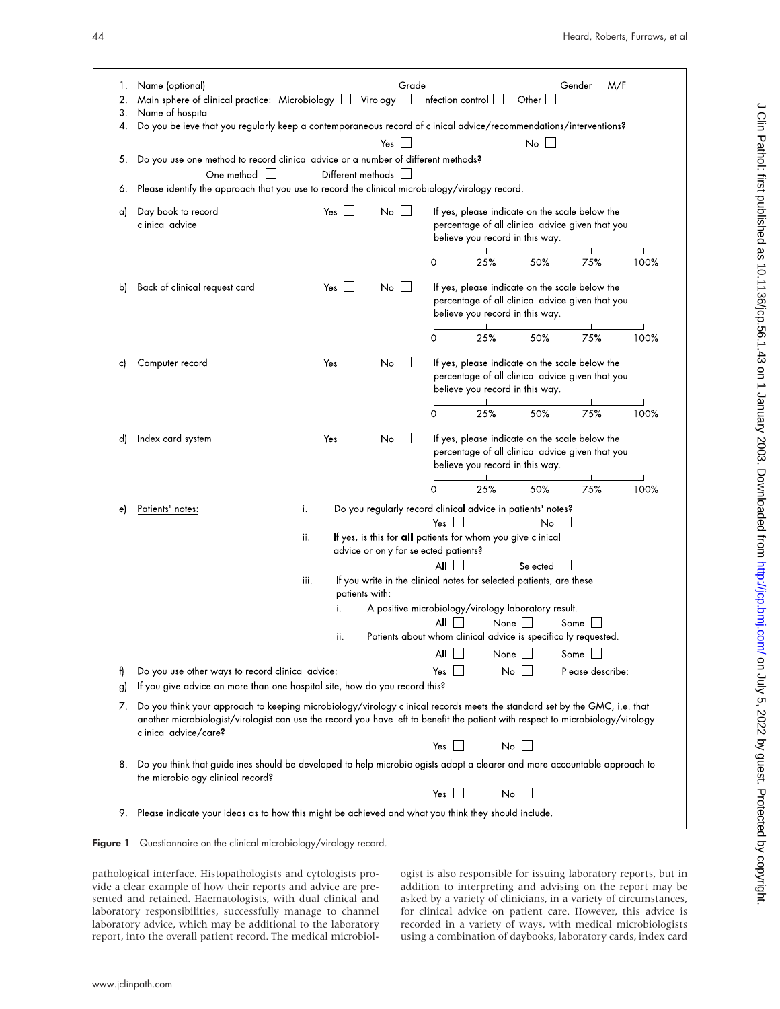| 1. | Name (optional) _                                                                                                                                              |                          | Grade                                                               |                                                                                                                                       |                                 |                      | M/F<br>Gender                                                  |      |  |  |
|----|----------------------------------------------------------------------------------------------------------------------------------------------------------------|--------------------------|---------------------------------------------------------------------|---------------------------------------------------------------------------------------------------------------------------------------|---------------------------------|----------------------|----------------------------------------------------------------|------|--|--|
| 2. | Main sphere of clinical practice: Microbiology $\Box$ Virology $\Box$ Infection control $\Box$                                                                 |                          |                                                                     |                                                                                                                                       |                                 | Other                |                                                                |      |  |  |
| 3. | Name of hospital.                                                                                                                                              |                          |                                                                     |                                                                                                                                       |                                 |                      |                                                                |      |  |  |
| 4. | Do you believe that you regularly keep a contemporaneous record of clinical advice/recommendations/interventions?                                              |                          |                                                                     |                                                                                                                                       |                                 |                      |                                                                |      |  |  |
|    |                                                                                                                                                                |                          | Yes                                                                 |                                                                                                                                       |                                 | $No$ $\vert \ \vert$ |                                                                |      |  |  |
| 5. | Do you use one method to record clinical advice or a number of different methods?                                                                              |                          |                                                                     |                                                                                                                                       |                                 |                      |                                                                |      |  |  |
|    | One method I                                                                                                                                                   | Different methods $\Box$ |                                                                     |                                                                                                                                       |                                 |                      |                                                                |      |  |  |
| 6. | Please identify the approach that you use to record the clinical microbiology/virology record.                                                                 |                          |                                                                     |                                                                                                                                       |                                 |                      |                                                                |      |  |  |
|    |                                                                                                                                                                |                          | $No$ $  $                                                           |                                                                                                                                       |                                 |                      |                                                                |      |  |  |
| a) | Day book to record<br>clinical advice                                                                                                                          | Yes                      |                                                                     | If yes, please indicate on the scale below the<br>percentage of all clinical advice given that you<br>believe you record in this way. |                                 |                      |                                                                |      |  |  |
|    |                                                                                                                                                                |                          |                                                                     |                                                                                                                                       |                                 |                      |                                                                |      |  |  |
|    |                                                                                                                                                                |                          |                                                                     |                                                                                                                                       |                                 |                      |                                                                |      |  |  |
|    |                                                                                                                                                                |                          |                                                                     | 0                                                                                                                                     | 25%                             | 50%                  | 75%                                                            | 100% |  |  |
|    | Back of clinical request card                                                                                                                                  | $Yes$ $\vert$            | $No$ $\vert$ $\vert$                                                |                                                                                                                                       |                                 |                      |                                                                |      |  |  |
| b) |                                                                                                                                                                |                          |                                                                     | If yes, please indicate on the scale below the<br>percentage of all clinical advice given that you<br>believe you record in this way. |                                 |                      |                                                                |      |  |  |
|    |                                                                                                                                                                |                          |                                                                     |                                                                                                                                       |                                 |                      |                                                                |      |  |  |
|    |                                                                                                                                                                |                          |                                                                     |                                                                                                                                       |                                 |                      |                                                                |      |  |  |
|    |                                                                                                                                                                |                          |                                                                     | 0                                                                                                                                     | 25%                             | 50%                  | 75%                                                            | 100% |  |  |
| C) | Computer record                                                                                                                                                | Yes                      | $No$ $\Box$                                                         |                                                                                                                                       |                                 |                      | If yes, please indicate on the scale below the                 |      |  |  |
|    |                                                                                                                                                                |                          |                                                                     |                                                                                                                                       |                                 |                      | percentage of all clinical advice given that you               |      |  |  |
|    |                                                                                                                                                                |                          |                                                                     |                                                                                                                                       | believe you record in this way. |                      |                                                                |      |  |  |
|    |                                                                                                                                                                |                          |                                                                     |                                                                                                                                       |                                 |                      |                                                                |      |  |  |
|    |                                                                                                                                                                |                          |                                                                     | 0                                                                                                                                     | 25%                             | 50%                  | 75%                                                            | 100% |  |  |
|    |                                                                                                                                                                |                          |                                                                     |                                                                                                                                       | believe you record in this way. |                      | percentage of all clinical advice given that you               |      |  |  |
|    |                                                                                                                                                                |                          |                                                                     | 0                                                                                                                                     | 25%                             | 50%                  | 75%                                                            | 100% |  |  |
| e) | Patients' notes:                                                                                                                                               | i.                       | Do you regularly record clinical advice in patients' notes?         | Yes $\Box$                                                                                                                            |                                 | No                   |                                                                |      |  |  |
|    |                                                                                                                                                                | ii.                      | If yes, is this for all patients for whom you give clinical         |                                                                                                                                       |                                 |                      |                                                                |      |  |  |
|    |                                                                                                                                                                |                          | advice or only for selected patients?                               |                                                                                                                                       |                                 |                      |                                                                |      |  |  |
|    |                                                                                                                                                                |                          |                                                                     | All II                                                                                                                                |                                 | Selected             |                                                                |      |  |  |
|    |                                                                                                                                                                | iii.<br>patients with:   | If you write in the clinical notes for selected patients, are these |                                                                                                                                       |                                 |                      |                                                                |      |  |  |
|    |                                                                                                                                                                | i.                       | A positive microbiology/virology laboratory result.                 |                                                                                                                                       |                                 |                      |                                                                |      |  |  |
|    |                                                                                                                                                                |                          |                                                                     | All  __                                                                                                                               |                                 | None $\Box$          | Some                                                           |      |  |  |
|    |                                                                                                                                                                | ii.                      |                                                                     |                                                                                                                                       |                                 |                      | Patients about whom clinical advice is specifically requested. |      |  |  |
|    |                                                                                                                                                                |                          |                                                                     | Αll                                                                                                                                   | None                            |                      | Some                                                           |      |  |  |
| Đ) | Do you use other ways to record clinical advice:                                                                                                               |                          |                                                                     | Yes $\vert \ \vert$                                                                                                                   | No                              |                      | Please describe:                                               |      |  |  |
| g) | If you give advice on more than one hospital site, how do you record this?                                                                                     |                          |                                                                     |                                                                                                                                       |                                 |                      |                                                                |      |  |  |
| 7. | Do you think your approach to keeping microbiology/virology clinical records meets the standard set by the GMC, i.e. that                                      |                          |                                                                     |                                                                                                                                       |                                 |                      |                                                                |      |  |  |
|    | another microbiologist/virologist can use the record you have left to benefit the patient with respect to microbiology/virology<br>clinical advice/care?       |                          |                                                                     |                                                                                                                                       |                                 |                      |                                                                |      |  |  |
|    |                                                                                                                                                                |                          |                                                                     | Yes                                                                                                                                   | No.                             |                      |                                                                |      |  |  |
| 8. | Do you think that guidelines should be developed to help microbiologists adopt a clearer and more accountable approach to<br>the microbiology clinical record? |                          |                                                                     |                                                                                                                                       |                                 |                      |                                                                |      |  |  |
|    |                                                                                                                                                                |                          |                                                                     | Yes II                                                                                                                                |                                 | $No$ $\Box$          |                                                                |      |  |  |
|    |                                                                                                                                                                |                          |                                                                     |                                                                                                                                       |                                 |                      |                                                                |      |  |  |
| 9. | Please indicate your ideas as to how this might be achieved and what you think they should include.                                                            |                          |                                                                     |                                                                                                                                       |                                 |                      |                                                                |      |  |  |

pathological interface. Histopathologists and cytologists provide a clear example of how their reports and advice are presented and retained. Haematologists, with dual clinical and laboratory responsibilities, successfully manage to channel laboratory advice, which may be additional to the laboratory report, into the overall patient record. The medical microbiol-

ogist is also responsible for issuing laboratory reports, but in addition to interpreting and advising on the report may be asked by a variety of clinicians, in a variety of circumstances, for clinical advice on patient care. However, this advice is recorded in a variety of ways, with medical microbiologists using a combination of daybooks, laboratory cards, index card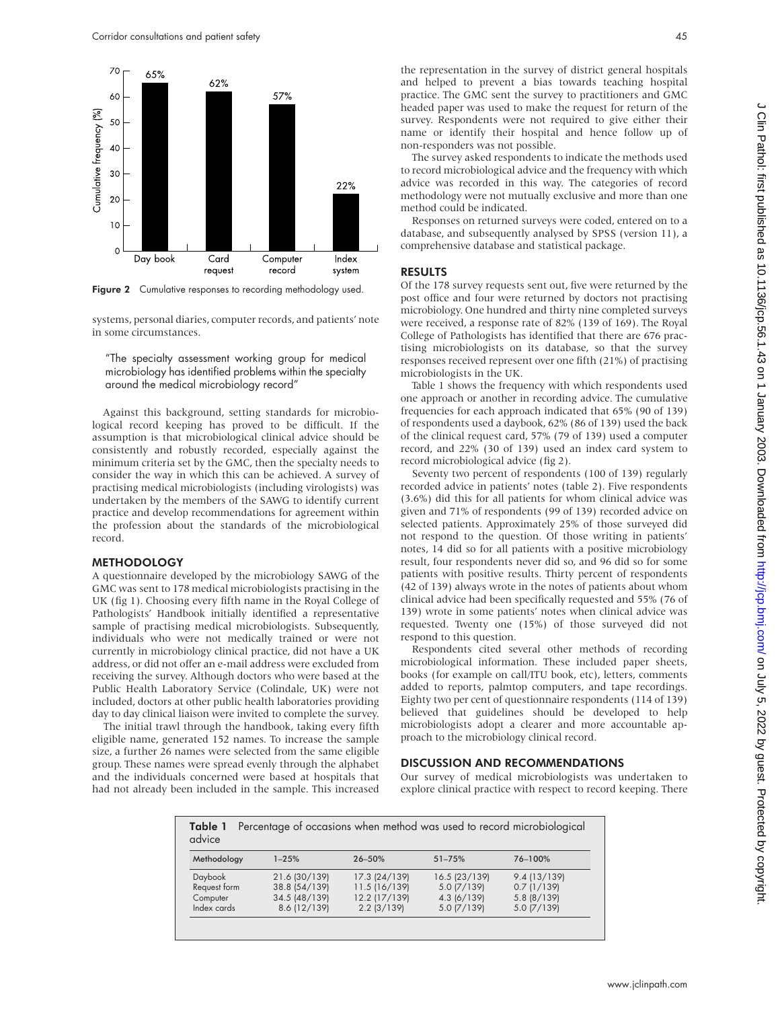

Figure 2 Cumulative responses to recording methodology used.

systems, personal diaries, computer records, and patients' note in some circumstances.

"The specialty assessment working group for medical microbiology has identified problems within the specialty around the medical microbiology record"

Against this background, setting standards for microbiological record keeping has proved to be difficult. If the assumption is that microbiological clinical advice should be consistently and robustly recorded, especially against the minimum criteria set by the GMC, then the specialty needs to consider the way in which this can be achieved. A survey of practising medical microbiologists (including virologists) was undertaken by the members of the SAWG to identify current practice and develop recommendations for agreement within the profession about the standards of the microbiological record.

#### METHODOLOGY

A questionnaire developed by the microbiology SAWG of the GMC was sent to 178 medical microbiologists practising in the UK (fig 1). Choosing every fifth name in the Royal College of Pathologists' Handbook initially identified a representative sample of practising medical microbiologists. Subsequently, individuals who were not medically trained or were not currently in microbiology clinical practice, did not have a UK address, or did not offer an e-mail address were excluded from receiving the survey. Although doctors who were based at the Public Health Laboratory Service (Colindale, UK) were not included, doctors at other public health laboratories providing day to day clinical liaison were invited to complete the survey.

The initial trawl through the handbook, taking every fifth eligible name, generated 152 names. To increase the sample size, a further 26 names were selected from the same eligible group. These names were spread evenly through the alphabet and the individuals concerned were based at hospitals that had not already been included in the sample. This increased

the representation in the survey of district general hospitals and helped to prevent a bias towards teaching hospital practice. The GMC sent the survey to practitioners and GMC headed paper was used to make the request for return of the survey. Respondents were not required to give either their name or identify their hospital and hence follow up of non-responders was not possible.

The survey asked respondents to indicate the methods used to record microbiological advice and the frequency with which advice was recorded in this way. The categories of record methodology were not mutually exclusive and more than one method could be indicated.

Responses on returned surveys were coded, entered on to a database, and subsequently analysed by SPSS (version 11), a comprehensive database and statistical package.

#### RESULTS

Of the 178 survey requests sent out, five were returned by the post office and four were returned by doctors not practising microbiology. One hundred and thirty nine completed surveys were received, a response rate of 82% (139 of 169). The Royal College of Pathologists has identified that there are 676 practising microbiologists on its database, so that the survey responses received represent over one fifth (21%) of practising microbiologists in the UK.

Table 1 shows the frequency with which respondents used one approach or another in recording advice. The cumulative frequencies for each approach indicated that 65% (90 of 139) of respondents used a daybook, 62% (86 of 139) used the back of the clinical request card, 57% (79 of 139) used a computer record, and 22% (30 of 139) used an index card system to record microbiological advice (fig 2).

Seventy two percent of respondents (100 of 139) regularly recorded advice in patients' notes (table 2). Five respondents (3.6%) did this for all patients for whom clinical advice was given and 71% of respondents (99 of 139) recorded advice on selected patients. Approximately 25% of those surveyed did not respond to the question. Of those writing in patients' notes, 14 did so for all patients with a positive microbiology result, four respondents never did so, and 96 did so for some patients with positive results. Thirty percent of respondents (42 of 139) always wrote in the notes of patients about whom clinical advice had been specifically requested and 55% (76 of 139) wrote in some patients' notes when clinical advice was requested. Twenty one (15%) of those surveyed did not respond to this question.

Respondents cited several other methods of recording microbiological information. These included paper sheets, books (for example on call/ITU book, etc), letters, comments added to reports, palmtop computers, and tape recordings. Eighty two per cent of questionnaire respondents (114 of 139) believed that guidelines should be developed to help microbiologists adopt a clearer and more accountable approach to the microbiology clinical record.

#### DISCUSSION AND RECOMMENDATIONS

Our survey of medical microbiologists was undertaken to explore clinical practice with respect to record keeping. There

| Percentage of occasions when method was used to record microbiological<br>Table 1<br>advice |               |               |               |               |  |  |  |  |
|---------------------------------------------------------------------------------------------|---------------|---------------|---------------|---------------|--|--|--|--|
| Methodology                                                                                 | $1 - 25%$     | $26 - 50%$    | $51 - 75%$    | 76-100%       |  |  |  |  |
| Daybook                                                                                     | 21.6 (30/139) | 17.3 (24/139) | 16.5 (23/139) | 9.4 (13/139)  |  |  |  |  |
| Request form                                                                                | 38.8 (54/139) | 11.5 (16/139) | 5.0 (7/139)   | $0.7$ (1/139) |  |  |  |  |
| Computer                                                                                    | 34.5 (48/139) | 12.2 (17/139) | 4.3 (6/139)   | 5.8 (8/139)   |  |  |  |  |
| Index cards                                                                                 | 8.6 (12/139)  | $2.2$ (3/139) | 5.0 (7/139)   | 5.0 (7/139)   |  |  |  |  |
|                                                                                             |               |               |               |               |  |  |  |  |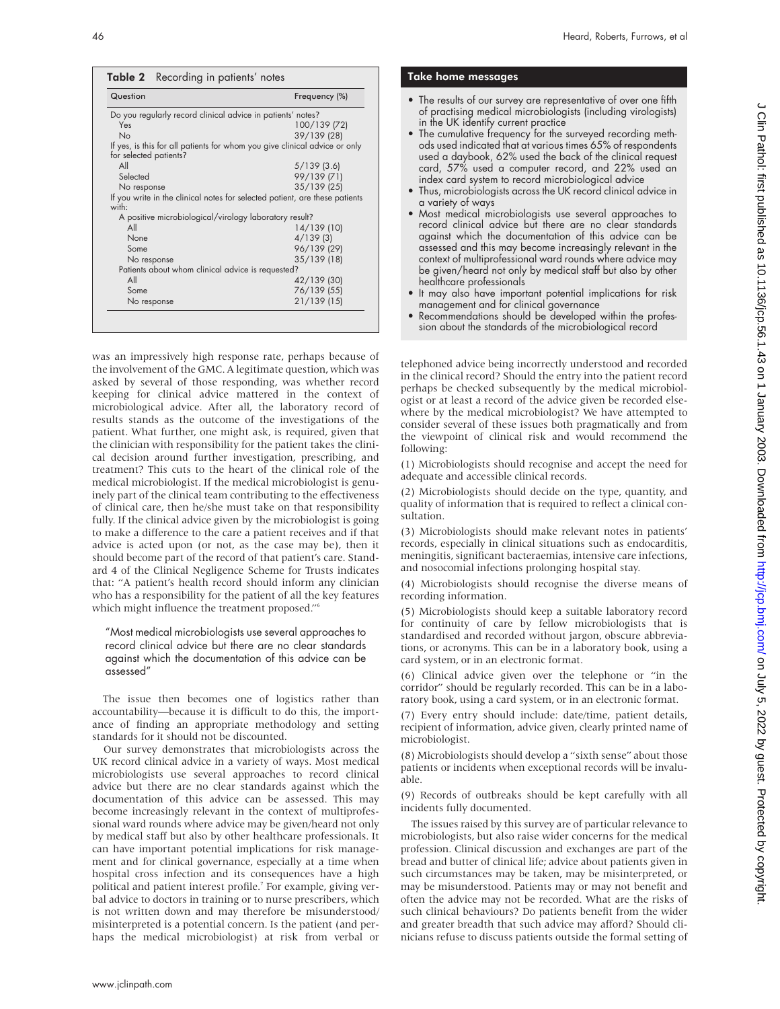| Question                                                    | Frequency (%)                                                               |  |  |
|-------------------------------------------------------------|-----------------------------------------------------------------------------|--|--|
| Do you regularly record clinical advice in patients' notes? |                                                                             |  |  |
| Yes                                                         | 100/139 (72)                                                                |  |  |
| N <sub>0</sub>                                              | 39/139 (28)                                                                 |  |  |
| for selected patients?                                      | If yes, is this for all patients for whom you give clinical advice or only  |  |  |
| All                                                         | $5/139$ (3.6)                                                               |  |  |
| Selected                                                    | 99/139 (71)                                                                 |  |  |
| No response                                                 | 35/139 (25)                                                                 |  |  |
| with:                                                       | If you write in the clinical notes for selected patient, are these patients |  |  |
| A positive microbiological/virology laboratory result?      |                                                                             |  |  |
| All                                                         | 14/139 (10)                                                                 |  |  |
| None                                                        | $4/139$ (3)                                                                 |  |  |
| Some                                                        | 96/139 (29)                                                                 |  |  |
| No response                                                 | 35/139 (18)                                                                 |  |  |
| Patients about whom clinical advice is requested?           |                                                                             |  |  |
| All                                                         | 42/139 (30)                                                                 |  |  |
| Some                                                        | 76/139 (55)                                                                 |  |  |
| No response                                                 | 21/139 (15)                                                                 |  |  |

was an impressively high response rate, perhaps because of the involvement of the GMC. A legitimate question, which was asked by several of those responding, was whether record keeping for clinical advice mattered in the context of microbiological advice. After all, the laboratory record of results stands as the outcome of the investigations of the patient. What further, one might ask, is required, given that the clinician with responsibility for the patient takes the clinical decision around further investigation, prescribing, and treatment? This cuts to the heart of the clinical role of the medical microbiologist. If the medical microbiologist is genuinely part of the clinical team contributing to the effectiveness of clinical care, then he/she must take on that responsibility fully. If the clinical advice given by the microbiologist is going to make a difference to the care a patient receives and if that advice is acted upon (or not, as the case may be), then it should become part of the record of that patient's care. Standard 4 of the Clinical Negligence Scheme for Trusts indicates that: "A patient's health record should inform any clinician who has a responsibility for the patient of all the key features which might influence the treatment proposed."6

"Most medical microbiologists use several approaches to record clinical advice but there are no clear standards against which the documentation of this advice can be assessed"

The issue then becomes one of logistics rather than accountability—because it is difficult to do this, the importance of finding an appropriate methodology and setting standards for it should not be discounted.

Our survey demonstrates that microbiologists across the UK record clinical advice in a variety of ways. Most medical microbiologists use several approaches to record clinical advice but there are no clear standards against which the documentation of this advice can be assessed. This may become increasingly relevant in the context of multiprofessional ward rounds where advice may be given/heard not only by medical staff but also by other healthcare professionals. It can have important potential implications for risk management and for clinical governance, especially at a time when hospital cross infection and its consequences have a high political and patient interest profile.<sup>7</sup> For example, giving verbal advice to doctors in training or to nurse prescribers, which is not written down and may therefore be misunderstood/ misinterpreted is a potential concern. Is the patient (and perhaps the medical microbiologist) at risk from verbal or

#### Take home messages

- The results of our survey are representative of over one fifth of practising medical microbiologists (including virologists) in the UK identify current practice
- The cumulative frequency for the surveyed recording methods used indicated that at various times 65% of respondents used a daybook, 62% used the back of the clinical request card, 57% used a computer record, and 22% used an index card system to record microbiological advice
- Thus, microbiologists across the UK record clinical advice in a variety of ways
- Most medical microbiologists use several approaches to record clinical advice but there are no clear standards against which the documentation of this advice can be assessed and this may become increasingly relevant in the context of multiprofessional ward rounds where advice may be given/heard not only by medical staff but also by other healthcare professionals
- It may also have important potential implications for risk management and for clinical governance
- Recommendations should be developed within the profession about the standards of the microbiological record

telephoned advice being incorrectly understood and recorded in the clinical record? Should the entry into the patient record perhaps be checked subsequently by the medical microbiologist or at least a record of the advice given be recorded elsewhere by the medical microbiologist? We have attempted to consider several of these issues both pragmatically and from the viewpoint of clinical risk and would recommend the following:

(1) Microbiologists should recognise and accept the need for adequate and accessible clinical records.

(2) Microbiologists should decide on the type, quantity, and quality of information that is required to reflect a clinical consultation.

(3) Microbiologists should make relevant notes in patients' records, especially in clinical situations such as endocarditis, meningitis, significant bacteraemias, intensive care infections, and nosocomial infections prolonging hospital stay.

(4) Microbiologists should recognise the diverse means of recording information.

(5) Microbiologists should keep a suitable laboratory record for continuity of care by fellow microbiologists that is standardised and recorded without jargon, obscure abbreviations, or acronyms. This can be in a laboratory book, using a card system, or in an electronic format.

(6) Clinical advice given over the telephone or "in the corridor" should be regularly recorded. This can be in a laboratory book, using a card system, or in an electronic format.

(7) Every entry should include: date/time, patient details, recipient of information, advice given, clearly printed name of microbiologist.

(8) Microbiologists should develop a "sixth sense" about those patients or incidents when exceptional records will be invaluable.

(9) Records of outbreaks should be kept carefully with all incidents fully documented.

The issues raised by this survey are of particular relevance to microbiologists, but also raise wider concerns for the medical profession. Clinical discussion and exchanges are part of the bread and butter of clinical life; advice about patients given in such circumstances may be taken, may be misinterpreted, or may be misunderstood. Patients may or may not benefit and often the advice may not be recorded. What are the risks of such clinical behaviours? Do patients benefit from the wider and greater breadth that such advice may afford? Should clinicians refuse to discuss patients outside the formal setting of

www.jclinpath.com